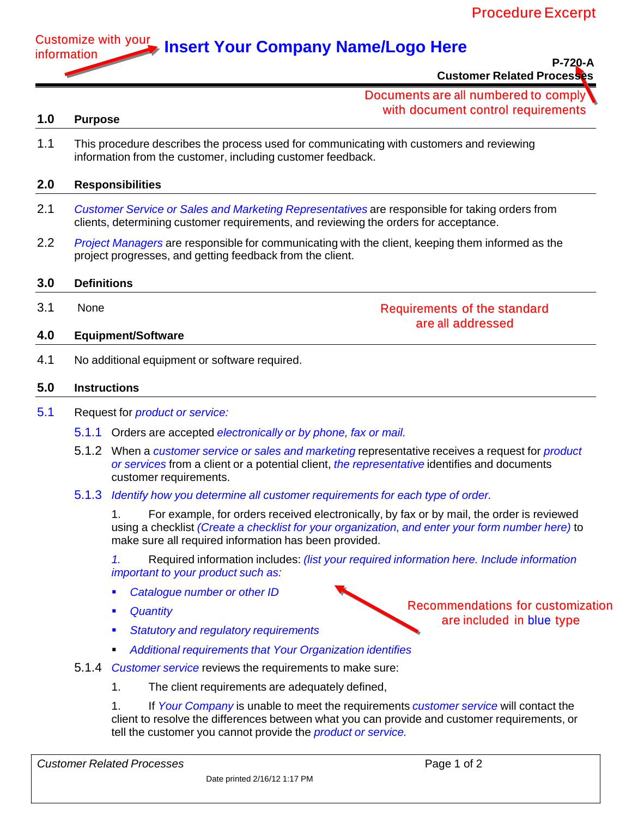

**P-720-A Customer Related Processes**

# Documents are all numbered to comply with document control requirements

### **1.0 Purpose**

1.1 This procedure describes the process used for communicating with customers and reviewing information from the customer, including customer feedback.

## **2.0 Responsibilities**

- 2.1 *Customer Service or Sales and Marketing Representatives* are responsible for taking orders from clients, determining customer requirements, and reviewing the orders for acceptance.
- 2.2 *Project Managers* are responsible for communicating with the client, keeping them informed as the project progresses, and getting feedback from the client.

### **3.0 Definitions**

3.1 None

### **4.0 Equipment/Software**

4.1 No additional equipment or software required.

### **5.0 Instructions**

- 5.1 Request for *product or service:*
	- 5.1.1 Orders are accepted *electronically or by phone, fax or mail.*
	- 5.1.2 When a *customer service or sales and marketing* representative receives a request for *product or services* from a client or a potential client, *the representative* identifies and documents customer requirements.
	- 5.1.3 *Identify how you determine all customer requirements for each type of order.*

1. For example, for orders received electronically, by fax or by mail, the order is reviewed using a checklist *(Create a checklist for your organization, and enter your form number here)* to make sure all required information has been provided.

*1.* Required information includes: *(list your required information here. Include information important to your product such as:*

- *Catalogue number or other ID*
- *Quantity*
- *Statutory and regulatory requirements*
- *Additional requirements that Your Organization identifies*
- 5.1.4 *Customer service* reviews the requirements to make sure:
	- 1. The client requirements are adequately defined,

1. If *Your Company* is unable to meet the requirements *customer service* will contact the client to resolve the differences between what you can provide and customer requirements, or tell the customer you cannot provide the *product or service.*



Requirements of the standard are all addressed